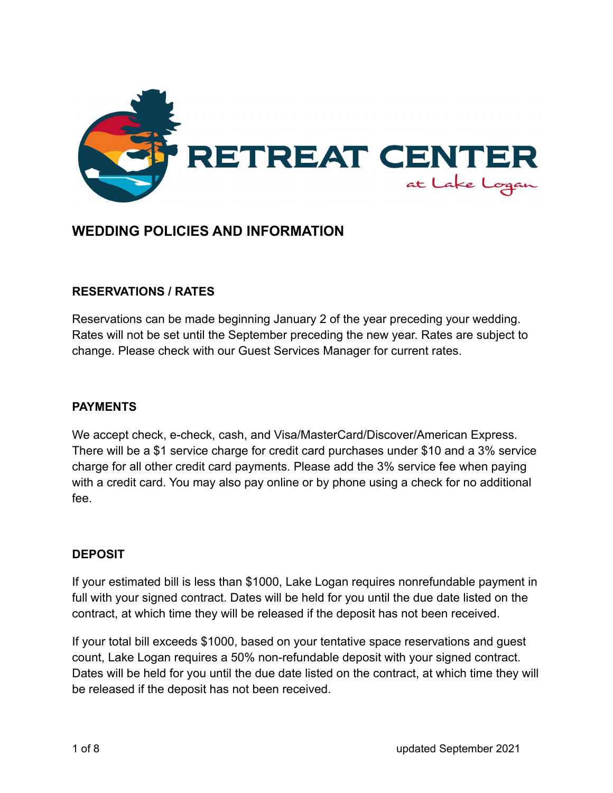

# **WEDDING POLICIES AND INFORMATION**

## **RESERVATIONS / RATES**

Reservations can be made beginning January 2 of the year preceding your wedding. Rates will not be set until the September preceding the new year. Rates are subject to change. Please check with our Guest Services Manager for current rates.

#### **PAYMENTS**

We accept check, e-check, cash, and Visa/MasterCard/Discover/American Express. There will be a \$1 service charge for credit card purchases under \$10 and a 3% service charge for all other credit card payments. Please add the 3% service fee when paying with a credit card. You may also pay online or by phone using a check for no additional fee.

#### **DEPOSIT**

If your estimated bill is less than \$1000, Lake Logan requires nonrefundable payment in full with your signed contract. Dates will be held for you until the due date listed on the contract, at which time they will be released if the deposit has not been received.

If your total bill exceeds \$1000, based on your tentative space reservations and guest count, Lake Logan requires a 50% non-refundable deposit with your signed contract. Dates will be held for you until the due date listed on the contract, at which time they will be released if the deposit has not been received.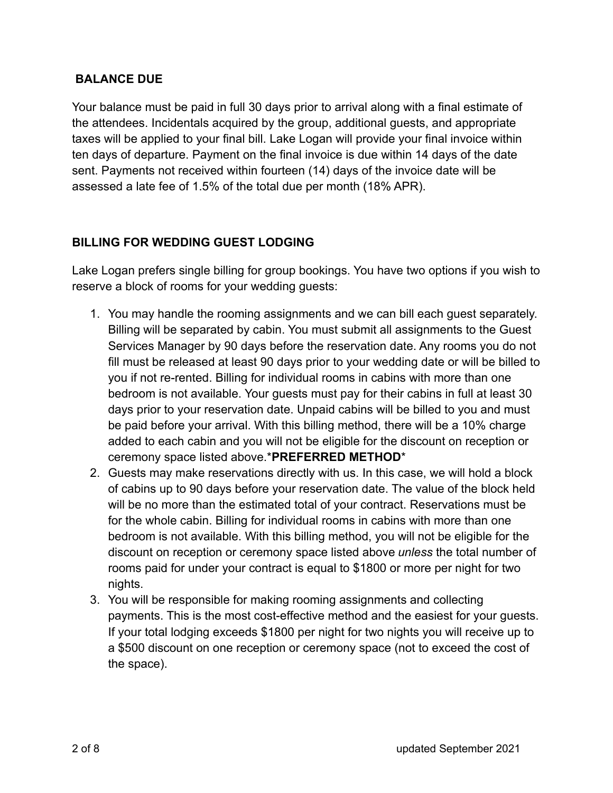## **BALANCE DUE**

Your balance must be paid in full 30 days prior to arrival along with a final estimate of the attendees. Incidentals acquired by the group, additional guests, and appropriate taxes will be applied to your final bill. Lake Logan will provide your final invoice within ten days of departure. Payment on the final invoice is due within 14 days of the date sent. Payments not received within fourteen (14) days of the invoice date will be assessed a late fee of 1.5% of the total due per month (18% APR).

## **BILLING FOR WEDDING GUEST LODGING**

Lake Logan prefers single billing for group bookings. You have two options if you wish to reserve a block of rooms for your wedding guests:

- 1. You may handle the rooming assignments and we can bill each guest separately. Billing will be separated by cabin. You must submit all assignments to the Guest Services Manager by 90 days before the reservation date. Any rooms you do not fill must be released at least 90 days prior to your wedding date or will be billed to you if not re-rented. Billing for individual rooms in cabins with more than one bedroom is not available. Your guests must pay for their cabins in full at least 30 days prior to your reservation date. Unpaid cabins will be billed to you and must be paid before your arrival. With this billing method, there will be a 10% charge added to each cabin and you will not be eligible for the discount on reception or ceremony space listed above.\***PREFERRED METHOD**\*
- 2. Guests may make reservations directly with us. In this case, we will hold a block of cabins up to 90 days before your reservation date. The value of the block held will be no more than the estimated total of your contract. Reservations must be for the whole cabin. Billing for individual rooms in cabins with more than one bedroom is not available. With this billing method, you will not be eligible for the discount on reception or ceremony space listed above *unless* the total number of rooms paid for under your contract is equal to \$1800 or more per night for two nights.
- 3. You will be responsible for making rooming assignments and collecting payments. This is the most cost-effective method and the easiest for your guests. If your total lodging exceeds \$1800 per night for two nights you will receive up to a \$500 discount on one reception or ceremony space (not to exceed the cost of the space).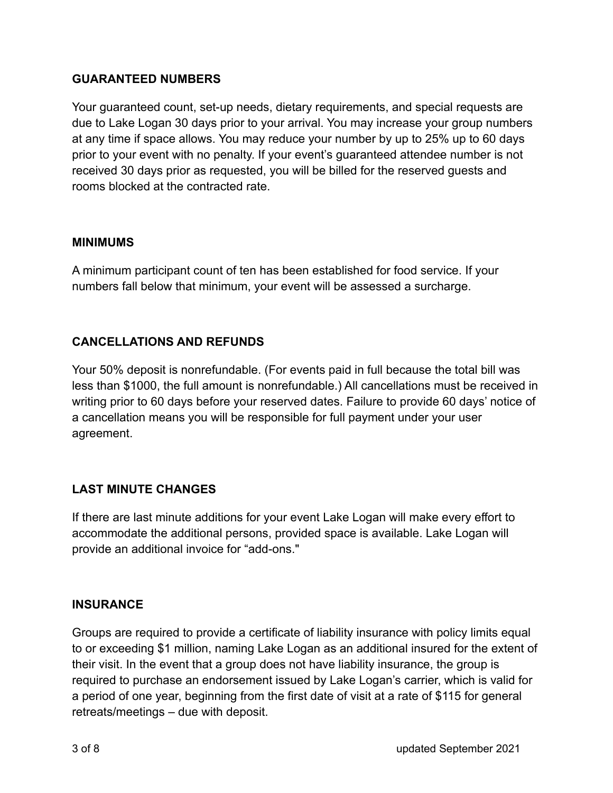## **GUARANTEED NUMBERS**

Your guaranteed count, set-up needs, dietary requirements, and special requests are due to Lake Logan 30 days prior to your arrival. You may increase your group numbers at any time if space allows. You may reduce your number by up to 25% up to 60 days prior to your event with no penalty. If your event's guaranteed attendee number is not received 30 days prior as requested, you will be billed for the reserved guests and rooms blocked at the contracted rate.

## **MINIMUMS**

A minimum participant count of ten has been established for food service. If your numbers fall below that minimum, your event will be assessed a surcharge.

## **CANCELLATIONS AND REFUNDS**

Your 50% deposit is nonrefundable. (For events paid in full because the total bill was less than \$1000, the full amount is nonrefundable.) All cancellations must be received in writing prior to 60 days before your reserved dates. Failure to provide 60 days' notice of a cancellation means you will be responsible for full payment under your user agreement.

## **LAST MINUTE CHANGES**

If there are last minute additions for your event Lake Logan will make every effort to accommodate the additional persons, provided space is available. Lake Logan will provide an additional invoice for "add-ons."

## **INSURANCE**

Groups are required to provide a certificate of liability insurance with policy limits equal to or exceeding \$1 million, naming Lake Logan as an additional insured for the extent of their visit. In the event that a group does not have liability insurance, the group is required to purchase an endorsement issued by Lake Logan's carrier, which is valid for a period of one year, beginning from the first date of visit at a rate of \$115 for general retreats/meetings – due with deposit.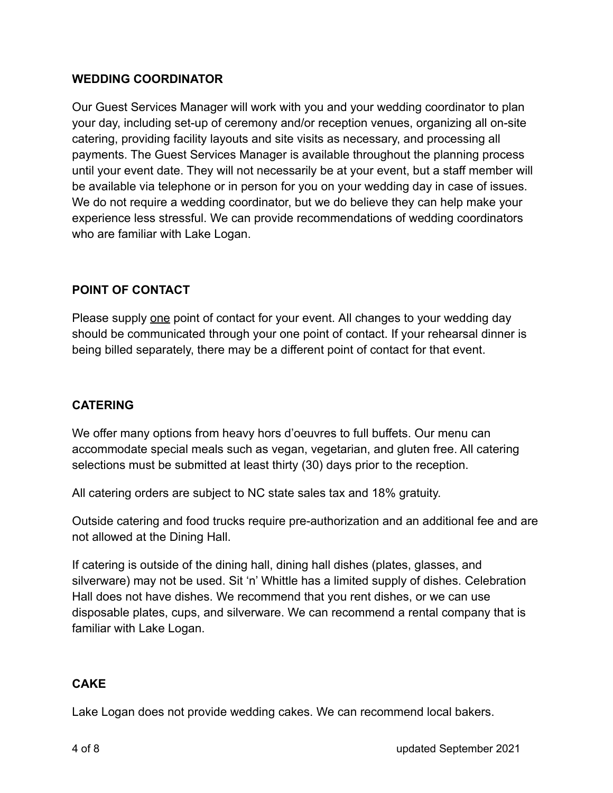## **WEDDING COORDINATOR**

Our Guest Services Manager will work with you and your wedding coordinator to plan your day, including set-up of ceremony and/or reception venues, organizing all on-site catering, providing facility layouts and site visits as necessary, and processing all payments. The Guest Services Manager is available throughout the planning process until your event date. They will not necessarily be at your event, but a staff member will be available via telephone or in person for you on your wedding day in case of issues. We do not require a wedding coordinator, but we do believe they can help make your experience less stressful. We can provide recommendations of wedding coordinators who are familiar with Lake Logan.

## **POINT OF CONTACT**

Please supply one point of contact for your event. All changes to your wedding day should be communicated through your one point of contact. If your rehearsal dinner is being billed separately, there may be a different point of contact for that event.

## **CATERING**

We offer many options from heavy hors d'oeuvres to full buffets. Our menu can accommodate special meals such as vegan, vegetarian, and gluten free. All catering selections must be submitted at least thirty (30) days prior to the reception.

All catering orders are subject to NC state sales tax and 18% gratuity.

Outside catering and food trucks require pre-authorization and an additional fee and are not allowed at the Dining Hall.

If catering is outside of the dining hall, dining hall dishes (plates, glasses, and silverware) may not be used. Sit 'n' Whittle has a limited supply of dishes. Celebration Hall does not have dishes. We recommend that you rent dishes, or we can use disposable plates, cups, and silverware. We can recommend a rental company that is familiar with Lake Logan.

## **CAKE**

Lake Logan does not provide wedding cakes. We can recommend local bakers.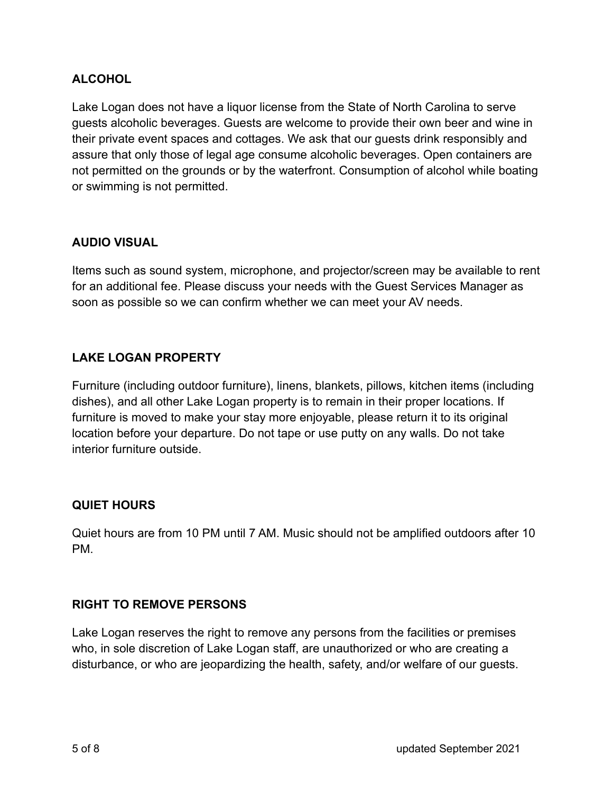## **ALCOHOL**

Lake Logan does not have a liquor license from the State of North Carolina to serve guests alcoholic beverages. Guests are welcome to provide their own beer and wine in their private event spaces and cottages. We ask that our guests drink responsibly and assure that only those of legal age consume alcoholic beverages. Open containers are not permitted on the grounds or by the waterfront. Consumption of alcohol while boating or swimming is not permitted.

## **AUDIO VISUAL**

Items such as sound system, microphone, and projector/screen may be available to rent for an additional fee. Please discuss your needs with the Guest Services Manager as soon as possible so we can confirm whether we can meet your AV needs.

## **LAKE LOGAN PROPERTY**

Furniture (including outdoor furniture), linens, blankets, pillows, kitchen items (including dishes), and all other Lake Logan property is to remain in their proper locations. If furniture is moved to make your stay more enjoyable, please return it to its original location before your departure. Do not tape or use putty on any walls. Do not take interior furniture outside.

## **QUIET HOURS**

Quiet hours are from 10 PM until 7 AM. Music should not be amplified outdoors after 10 PM.

## **RIGHT TO REMOVE PERSONS**

Lake Logan reserves the right to remove any persons from the facilities or premises who, in sole discretion of Lake Logan staff, are unauthorized or who are creating a disturbance, or who are jeopardizing the health, safety, and/or welfare of our guests.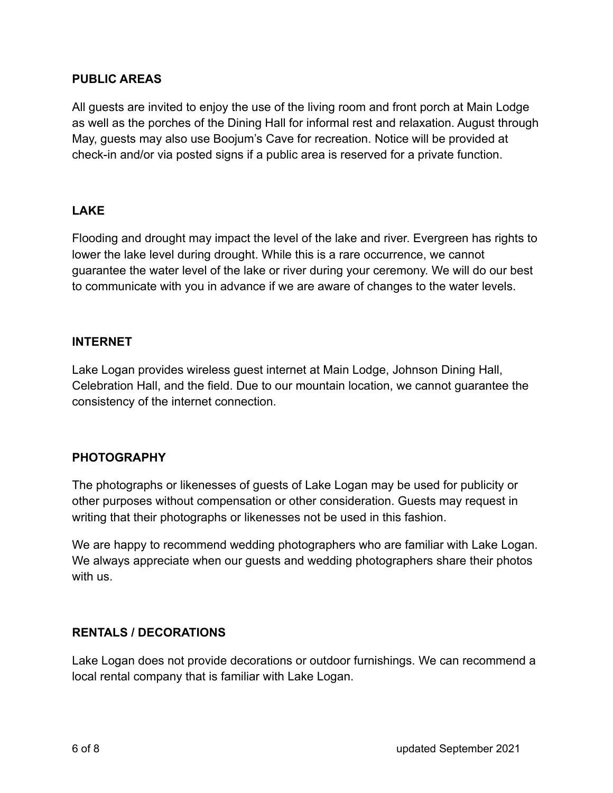#### **PUBLIC AREAS**

All guests are invited to enjoy the use of the living room and front porch at Main Lodge as well as the porches of the Dining Hall for informal rest and relaxation. August through May, guests may also use Boojum's Cave for recreation. Notice will be provided at check-in and/or via posted signs if a public area is reserved for a private function.

## **LAKE**

Flooding and drought may impact the level of the lake and river. Evergreen has rights to lower the lake level during drought. While this is a rare occurrence, we cannot guarantee the water level of the lake or river during your ceremony. We will do our best to communicate with you in advance if we are aware of changes to the water levels.

#### **INTERNET**

Lake Logan provides wireless guest internet at Main Lodge, Johnson Dining Hall, Celebration Hall, and the field. Due to our mountain location, we cannot guarantee the consistency of the internet connection.

#### **PHOTOGRAPHY**

The photographs or likenesses of guests of Lake Logan may be used for publicity or other purposes without compensation or other consideration. Guests may request in writing that their photographs or likenesses not be used in this fashion.

We are happy to recommend wedding photographers who are familiar with Lake Logan. We always appreciate when our guests and wedding photographers share their photos with us.

#### **RENTALS / DECORATIONS**

Lake Logan does not provide decorations or outdoor furnishings. We can recommend a local rental company that is familiar with Lake Logan.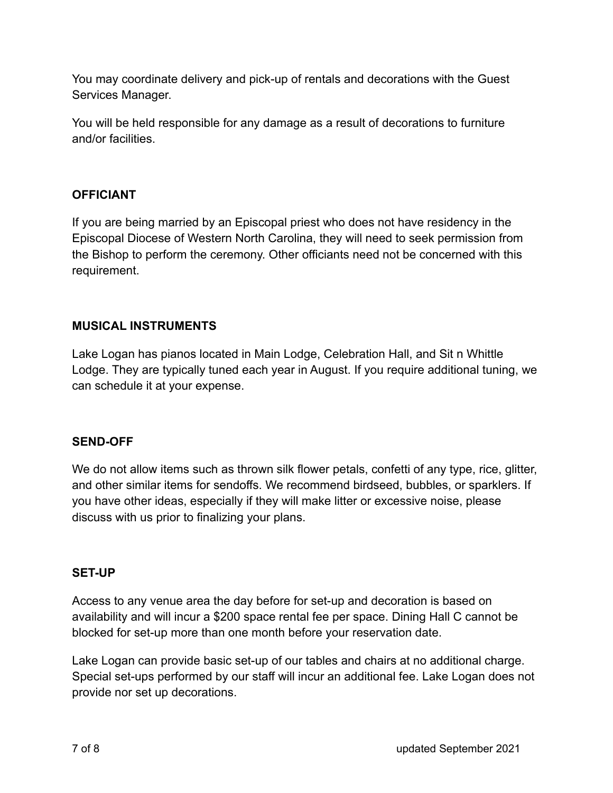You may coordinate delivery and pick-up of rentals and decorations with the Guest Services Manager.

You will be held responsible for any damage as a result of decorations to furniture and/or facilities.

## **OFFICIANT**

If you are being married by an Episcopal priest who does not have residency in the Episcopal Diocese of Western North Carolina, they will need to seek permission from the Bishop to perform the ceremony. Other officiants need not be concerned with this requirement.

## **MUSICAL INSTRUMENTS**

Lake Logan has pianos located in Main Lodge, Celebration Hall, and Sit n Whittle Lodge. They are typically tuned each year in August. If you require additional tuning, we can schedule it at your expense.

## **SEND-OFF**

We do not allow items such as thrown silk flower petals, confetti of any type, rice, glitter, and other similar items for sendoffs. We recommend birdseed, bubbles, or sparklers. If you have other ideas, especially if they will make litter or excessive noise, please discuss with us prior to finalizing your plans.

## **SET-UP**

Access to any venue area the day before for set-up and decoration is based on availability and will incur a \$200 space rental fee per space. Dining Hall C cannot be blocked for set-up more than one month before your reservation date.

Lake Logan can provide basic set-up of our tables and chairs at no additional charge. Special set-ups performed by our staff will incur an additional fee. Lake Logan does not provide nor set up decorations.